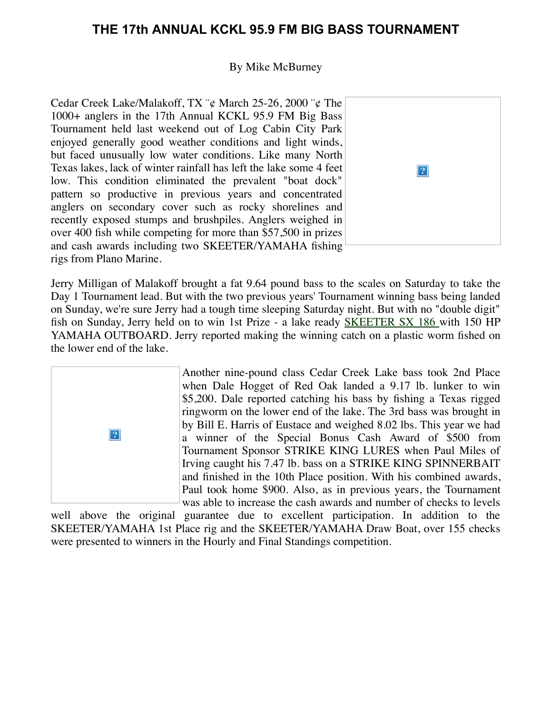# **THE 17th ANNUAL KCKL 95.9 FM BIG BASS TOURNAMENT**

## By Mike McBurney

Cedar Creek Lake/Malakoff, TX ¨¢ March 25-26, 2000 ¨¢ The 1000+ anglers in the 17th Annual KCKL 95.9 FM Big Bass Tournament held last weekend out of Log Cabin City Park enjoyed generally good weather conditions and light winds, but faced unusually low water conditions. Like many North Texas lakes, lack of winter rainfall has left the lake some 4 feet low. This condition eliminated the prevalent "boat dock" pattern so productive in previous years and concentrated anglers on secondary cover such as rocky shorelines and recently exposed stumps and brushpiles. Anglers weighed in over 400 fish while competing for more than \$57,500 in prizes and cash awards including two SKEETER/YAMAHA fishing rigs from Plano Marine.



Jerry Milligan of Malakoff brought a fat 9.64 pound bass to the scales on Saturday to take the Day 1 Tournament lead. But with the two previous years' Tournament winning bass being landed on Sunday, we're sure Jerry had a tough time sleeping Saturday night. But with no "double digit" fish on Sunday, Jerry held on to win 1st Prize - a lake ready **SKEETER SX 186** with 150 HP YAMAHA OUTBOARD. Jerry reported making the winning catch on a plastic worm fished on the lower end of the lake.



Another nine-pound class Cedar Creek Lake bass took 2nd Place when Dale Hogget of Red Oak landed a 9.17 lb. lunker to win \$5,200. Dale reported catching his bass by fishing a Texas rigged ringworm on the lower end of the lake. The 3rd bass was brought in by Bill E. Harris of Eustace and weighed 8.02 lbs. This year we had a winner of the Special Bonus Cash Award of \$500 from Tournament Sponsor STRIKE KING LURES when Paul Miles of Irving caught his 7.47 lb. bass on a STRIKE KING SPINNERBAIT and finished in the 10th Place position. With his combined awards, Paul took home \$900. Also, as in previous years, the Tournament was able to increase the cash awards and number of checks to levels

well above the original guarantee due to excellent participation. In addition to the SKEETER/YAMAHA 1st Place rig and the SKEETER/YAMAHA Draw Boat, over 155 checks were presented to winners in the Hourly and Final Standings competition.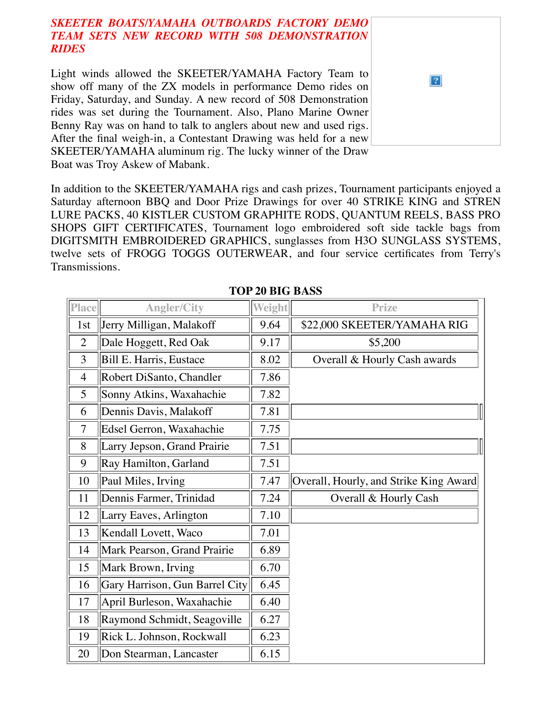# *SKEETER BOATS/YAMAHA OUTBOARDS FACTORY DEMO TEAM SETS NEW RECORD WITH 508 DEMONSTRATION RIDES*

Light winds allowed the SKEETER/YAMAHA Factory Team to show off many of the ZX models in performance Demo rides on Friday, Saturday, and Sunday. A new record of 508 Demonstration rides was set during the Tournament. Also, Plano Marine Owner Benny Ray was on hand to talk to anglers about new and used rigs. After the final weigh-in, a Contestant Drawing was held for a new SKEETER/YAMAHA aluminum rig. The lucky winner of the Draw Boat was Troy Askew of Mabank.

In addition to the SKEETER/YAMAHA rigs and cash prizes, Tournament participants enjoyed a Saturday afternoon BBQ and Door Prize Drawings for over 40 STRIKE KING and STREN LURE PACKS, 40 KISTLER CUSTOM GRAPHITE RODS, QUANTUM REELS, BASS PRO SHOPS GIFT CERTIFICATES, Tournament logo embroidered soft side tackle bags from DIGITSMITH EMBROIDERED GRAPHICS, sunglasses from H3O SUNGLASS SYSTEMS, twelve sets of FROGG TOGGS OUTERWEAR, and four service certificates from Terry's Transmissions.

 $|2|$ 

| Place          | <b>Angler/City</b>             | <b>Weight</b> | <b>Prize</b>                           |
|----------------|--------------------------------|---------------|----------------------------------------|
| 1st            | Jerry Milligan, Malakoff       | 9.64          | \$22,000 SKEETER/YAMAHA RIG            |
| $\overline{2}$ | Dale Hoggett, Red Oak          | 9.17          | \$5,200                                |
| 3              | Bill E. Harris, Eustace        | 8.02          | Overall & Hourly Cash awards           |
| $\overline{4}$ | Robert DiSanto, Chandler       | 7.86          |                                        |
| 5              | Sonny Atkins, Waxahachie       | 7.82          |                                        |
| 6              | Dennis Davis, Malakoff         | 7.81          |                                        |
| 7              | Edsel Gerron, Waxahachie       | 7.75          |                                        |
| 8              | Larry Jepson, Grand Prairie    | 7.51          |                                        |
| 9              | Ray Hamilton, Garland          | 7.51          |                                        |
| 10             | Paul Miles, Irving             | 7.47          | Overall, Hourly, and Strike King Award |
| 11             | Dennis Farmer, Trinidad        | 7.24          | Overall & Hourly Cash                  |
| 12             | Larry Eaves, Arlington         | 7.10          |                                        |
| 13             | Kendall Lovett, Waco           | 7.01          |                                        |
| 14             | Mark Pearson, Grand Prairie    | 6.89          |                                        |
| 15             | Mark Brown, Irving             | 6.70          |                                        |
| 16             | Gary Harrison, Gun Barrel City | 6.45          |                                        |
| 17             | April Burleson, Waxahachie     | 6.40          |                                        |
| 18             | Raymond Schmidt, Seagoville    | 6.27          |                                        |
| 19             | Rick L. Johnson, Rockwall      | 6.23          |                                        |
| 20             | Don Stearman, Lancaster        | 6.15          |                                        |

#### **TOP 20 BIG BASS**